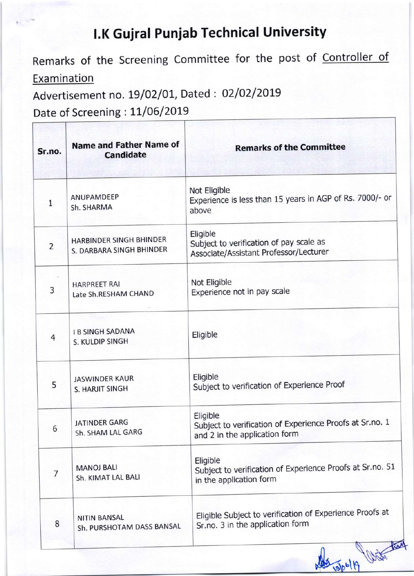## l.K Guiral Puniab Technical University

Remarks of the Screening Committee for the post of Controller of **Examination** 

Advertisement no. 19/02/01, Dated: 02/02/2019

Date of Screening: 11/06/2019

| Sr.no.         | <b>Name and Father Name of</b><br><b>Candidate</b>  | <b>Remarks of the Committee</b>                                                                       |
|----------------|-----------------------------------------------------|-------------------------------------------------------------------------------------------------------|
| $\mathbf{1}$   | ANUPAMDEEP<br>Sh. SHARMA                            | Not Eligible<br>Experience is less than 15 years in AGP of Rs. 7000/- or<br>above                     |
| $\overline{2}$ | HARBINDER SINGH BHINDER<br>S. DARBARA SINGH BHINDER | Eligible<br>Subject to verification of pay scale as<br>Associate/Assistant Professor/Lecturer         |
| 3              | <b>HARPREET RAI</b><br>Late Sh.RESHAM CHAND         | Not Eligible<br>Experience not in pay scale                                                           |
| 4              | <b>I B SINGH SADANA</b><br>S. KULDIP SINGH          | Eligible                                                                                              |
| 5              | <b>JASWINDER KAUR</b><br>S. HARJIT SINGH            | Eligible<br>Subject to verification of Experience Proof                                               |
| 6              | <b>JATINDER GARG</b><br>Sh. SHAM LAL GARG           | Eligible<br>Subject to verification of Experience Proofs at Sr.no. 1<br>and 2 in the application form |
| 7              | <b>MANOJ BALI</b><br>Sh. KIMAT LAL BALI             | Eligible<br>Subject to verification of Experience Proofs at Sr.no. 51<br>in the application form      |
| 8              | <b>NITIN BANSAL</b><br>Sh. PURSHOTAM DASS BANSAL    | Eligible Subject to verification of Experience Proofs at<br>Sr.no. 3 in the application form          |

Nes 10/06/19